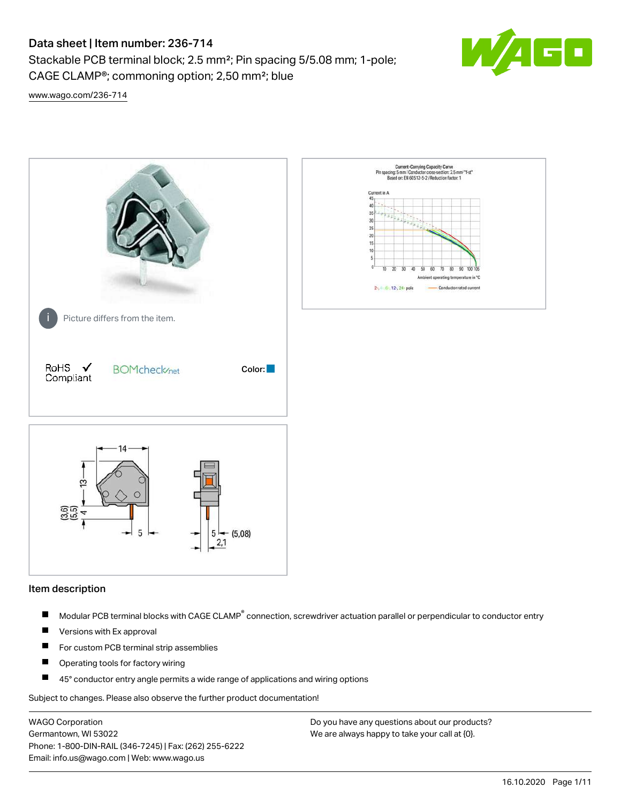Stackable PCB terminal block; 2.5 mm²; Pin spacing 5/5.08 mm; 1-pole; CAGE CLAMP®; commoning option; 2,50 mm²; blue



[www.wago.com/236-714](http://www.wago.com/236-714)



#### Item description

- Modular PCB terminal blocks with CAGE CLAMP<sup>®</sup> connection, screwdriver actuation parallel or perpendicular to conductor entry П
- $\blacksquare$ Versions with Ex approval
- П For custom PCB terminal strip assemblies
- $\blacksquare$ Operating tools for factory wiring
- $\blacksquare$ 45° conductor entry angle permits a wide range of applications and wiring options

Subject to changes. Please also observe the further product documentation!

WAGO Corporation Germantown, WI 53022 Phone: 1-800-DIN-RAIL (346-7245) | Fax: (262) 255-6222 Email: info.us@wago.com | Web: www.wago.us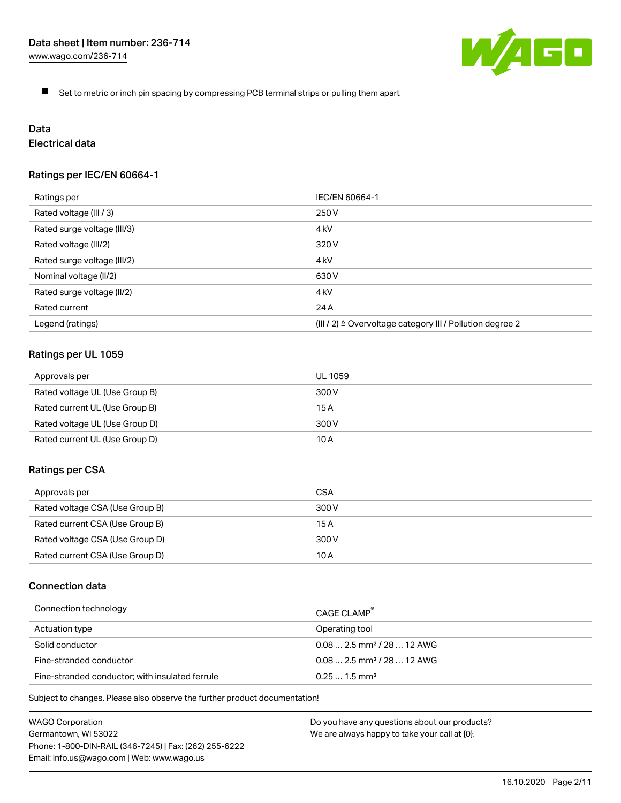

 $\blacksquare$ Set to metric or inch pin spacing by compressing PCB terminal strips or pulling them apart

# Data

## Electrical data

## Ratings per IEC/EN 60664-1

| Ratings per                 | IEC/EN 60664-1                                                        |
|-----------------------------|-----------------------------------------------------------------------|
| Rated voltage (III / 3)     | 250 V                                                                 |
| Rated surge voltage (III/3) | 4 <sub>kV</sub>                                                       |
| Rated voltage (III/2)       | 320 V                                                                 |
| Rated surge voltage (III/2) | 4 <sub>k</sub> V                                                      |
| Nominal voltage (II/2)      | 630 V                                                                 |
| Rated surge voltage (II/2)  | 4 <sub>k</sub> V                                                      |
| Rated current               | 24 A                                                                  |
| Legend (ratings)            | $(III / 2)$ $\triangle$ Overvoltage category III / Pollution degree 2 |

## Ratings per UL 1059

| Approvals per                  | UL 1059 |
|--------------------------------|---------|
| Rated voltage UL (Use Group B) | 300 V   |
| Rated current UL (Use Group B) | 15 A    |
| Rated voltage UL (Use Group D) | 300 V   |
| Rated current UL (Use Group D) | 10 A    |

#### Ratings per CSA

| Approvals per                   | CSA   |
|---------------------------------|-------|
| Rated voltage CSA (Use Group B) | 300 V |
| Rated current CSA (Use Group B) | 15 A  |
| Rated voltage CSA (Use Group D) | 300 V |
| Rated current CSA (Use Group D) | 10 A  |

## Connection data

| Connection technology                           | CAGE CLAMP                              |
|-------------------------------------------------|-----------------------------------------|
| Actuation type                                  | Operating tool                          |
| Solid conductor                                 | $0.08$ 2.5 mm <sup>2</sup> / 28  12 AWG |
| Fine-stranded conductor                         | $0.082.5$ mm <sup>2</sup> / 28  12 AWG  |
| Fine-stranded conductor; with insulated ferrule | $0.251.5$ mm <sup>2</sup>               |

Subject to changes. Please also observe the further product documentation!

WAGO Corporation Germantown, WI 53022 Phone: 1-800-DIN-RAIL (346-7245) | Fax: (262) 255-6222 Email: info.us@wago.com | Web: www.wago.us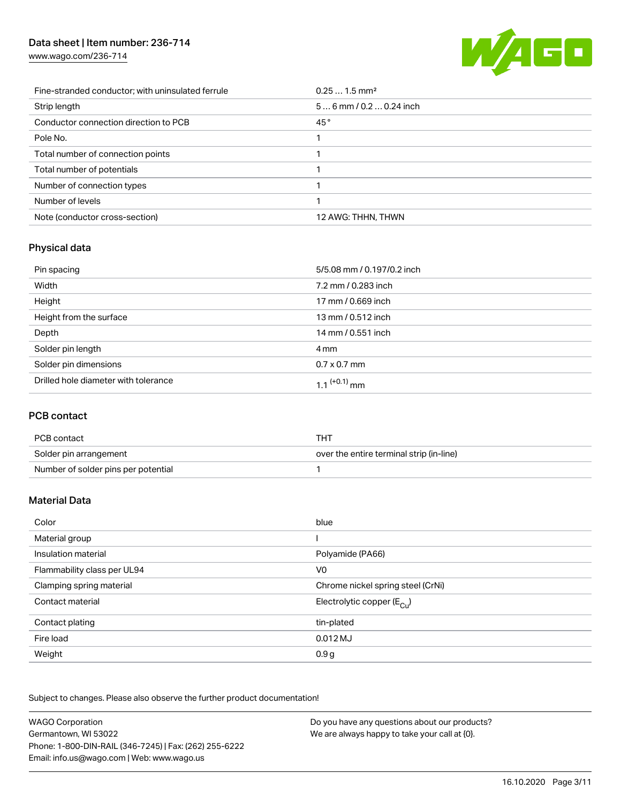[www.wago.com/236-714](http://www.wago.com/236-714)



| Fine-stranded conductor; with uninsulated ferrule | $0.251.5$ mm <sup>2</sup> |
|---------------------------------------------------|---------------------------|
| Strip length                                      | $56$ mm / 0.2  0.24 inch  |
| Conductor connection direction to PCB             | 45°                       |
| Pole No.                                          |                           |
| Total number of connection points                 |                           |
| Total number of potentials                        |                           |
| Number of connection types                        |                           |
| Number of levels                                  |                           |
| Note (conductor cross-section)                    | 12 AWG: THHN, THWN        |

## Physical data

| Pin spacing                          | 5/5.08 mm / 0.197/0.2 inch |
|--------------------------------------|----------------------------|
| Width                                | 7.2 mm / 0.283 inch        |
| Height                               | 17 mm / 0.669 inch         |
| Height from the surface              | 13 mm / 0.512 inch         |
| Depth                                | 14 mm / 0.551 inch         |
| Solder pin length                    | 4 mm                       |
| Solder pin dimensions                | $0.7 \times 0.7$ mm        |
| Drilled hole diameter with tolerance | $1.1$ <sup>(+0.1)</sup> mm |

## PCB contact

| PCB contact                         | тнт                                      |
|-------------------------------------|------------------------------------------|
| Solder pin arrangement              | over the entire terminal strip (in-line) |
| Number of solder pins per potential |                                          |

## Material Data

| Color                       | blue                                   |
|-----------------------------|----------------------------------------|
| Material group              |                                        |
| Insulation material         | Polyamide (PA66)                       |
| Flammability class per UL94 | V <sub>0</sub>                         |
| Clamping spring material    | Chrome nickel spring steel (CrNi)      |
| Contact material            | Electrolytic copper $(E_{\text{Cul}})$ |
| Contact plating             | tin-plated                             |
| Fire load                   | $0.012$ MJ                             |
| Weight                      | 0.9 <sub>g</sub>                       |

Subject to changes. Please also observe the further product documentation!

| <b>WAGO Corporation</b>                                | Do you have any questions about our products? |
|--------------------------------------------------------|-----------------------------------------------|
| Germantown, WI 53022                                   | We are always happy to take your call at {0}. |
| Phone: 1-800-DIN-RAIL (346-7245)   Fax: (262) 255-6222 |                                               |
| Email: info.us@wago.com   Web: www.wago.us             |                                               |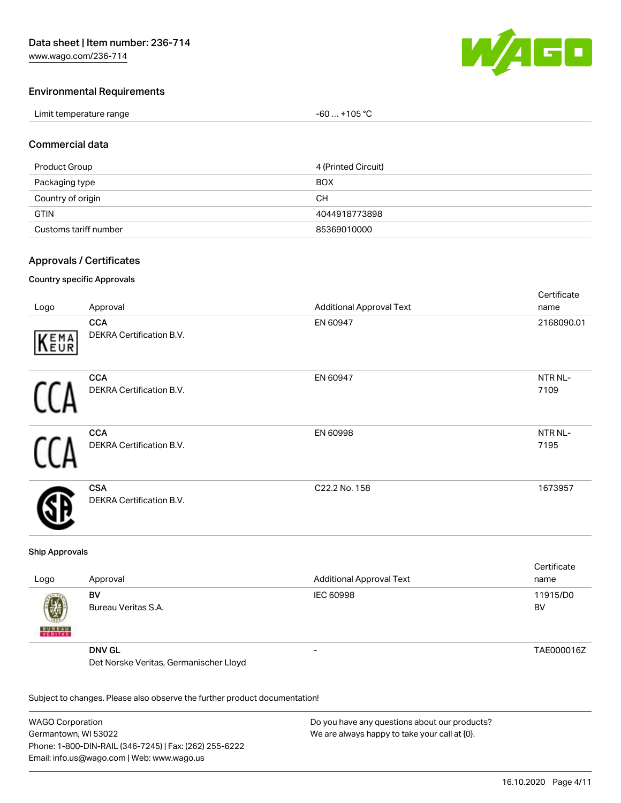

Certificate

#### Environmental Requirements

| Limit temperature range | $-60+105 °C$ |
|-------------------------|--------------|
|-------------------------|--------------|

#### Commercial data

| Product Group         | 4 (Printed Circuit) |
|-----------------------|---------------------|
| Packaging type        | <b>BOX</b>          |
| Country of origin     | CН                  |
| <b>GTIN</b>           | 4044918773898       |
| Customs tariff number | 85369010000         |

#### Approvals / Certificates

#### Country specific Approvals

| Logo | Approval                                      | <b>Additional Approval Text</b> | <b>OUTHING</b><br>name |
|------|-----------------------------------------------|---------------------------------|------------------------|
| KEMA | <b>CCA</b><br>DEKRA Certification B.V.        | EN 60947                        | 2168090.01             |
|      | <b>CCA</b><br>DEKRA Certification B.V.        | EN 60947                        | NTR NL-<br>7109        |
|      | <b>CCA</b><br>DEKRA Certification B.V.        | EN 60998                        | NTR NL-<br>7195        |
|      | <b>CSA</b><br><b>DEKRA Certification B.V.</b> | C22.2 No. 158                   | 1673957                |

#### Ship Approvals

| Logo               | Approval                               | <b>Additional Approval Text</b> | Certificate<br>name   |
|--------------------|----------------------------------------|---------------------------------|-----------------------|
| 遒<br><b>BUREAU</b> | BV<br>Bureau Veritas S.A.              | IEC 60998                       | 11915/D0<br><b>BV</b> |
|                    | <b>DNV GL</b>                          | -                               | TAE000016Z            |
|                    | Det Norske Veritas, Germanischer Lloyd |                                 |                       |

Subject to changes. Please also observe the further product documentation!

WAGO Corporation Germantown, WI 53022 Phone: 1-800-DIN-RAIL (346-7245) | Fax: (262) 255-6222 Email: info.us@wago.com | Web: www.wago.us Do you have any questions about our products? We are always happy to take your call at {0}.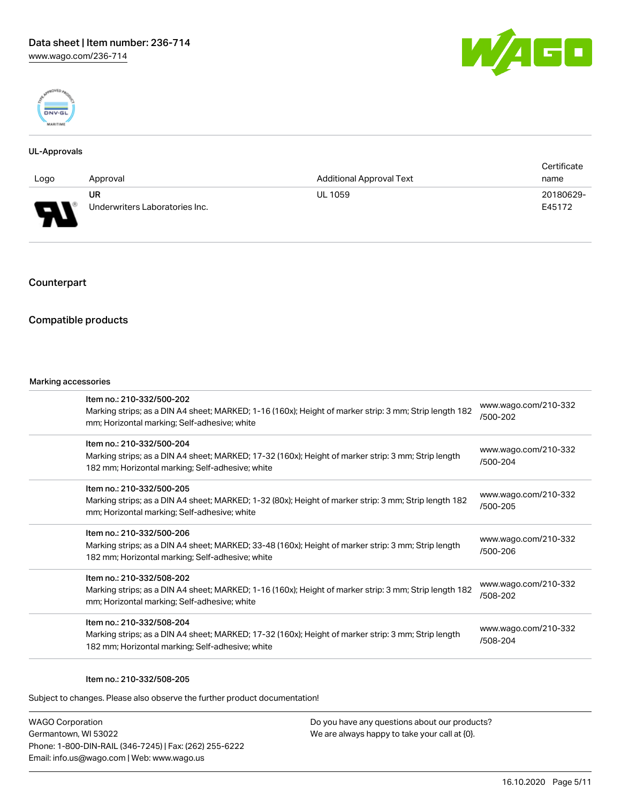



#### UL-Approvals

|                          |                                |                                 | Certificate |
|--------------------------|--------------------------------|---------------------------------|-------------|
| Logo                     | Approval                       | <b>Additional Approval Text</b> | name        |
|                          | <b>UR</b>                      | <b>UL 1059</b>                  | 20180629-   |
| $\overline{\phantom{0}}$ | Underwriters Laboratories Inc. |                                 | E45172      |

## Counterpart

#### Compatible products

#### Marking accessories

| Item no.: 210-332/500-202<br>Marking strips; as a DIN A4 sheet; MARKED; 1-16 (160x); Height of marker strip: 3 mm; Strip length 182<br>mm; Horizontal marking; Self-adhesive; white  | www.wago.com/210-332<br>/500-202 |
|--------------------------------------------------------------------------------------------------------------------------------------------------------------------------------------|----------------------------------|
| Item no.: 210-332/500-204<br>Marking strips; as a DIN A4 sheet; MARKED; 17-32 (160x); Height of marker strip: 3 mm; Strip length<br>182 mm; Horizontal marking; Self-adhesive; white | www.wago.com/210-332<br>/500-204 |
| Item no.: 210-332/500-205<br>Marking strips; as a DIN A4 sheet; MARKED; 1-32 (80x); Height of marker strip: 3 mm; Strip length 182<br>mm; Horizontal marking; Self-adhesive; white   | www.wago.com/210-332<br>/500-205 |
| Item no.: 210-332/500-206<br>Marking strips; as a DIN A4 sheet; MARKED; 33-48 (160x); Height of marker strip: 3 mm; Strip length<br>182 mm; Horizontal marking; Self-adhesive; white | www.wago.com/210-332<br>/500-206 |
| Item no.: 210-332/508-202<br>Marking strips; as a DIN A4 sheet; MARKED; 1-16 (160x); Height of marker strip: 3 mm; Strip length 182<br>mm; Horizontal marking; Self-adhesive; white  | www.wago.com/210-332<br>/508-202 |
| Item no.: 210-332/508-204<br>Marking strips; as a DIN A4 sheet; MARKED; 17-32 (160x); Height of marker strip: 3 mm; Strip length<br>182 mm; Horizontal marking; Self-adhesive; white | www.wago.com/210-332<br>/508-204 |
|                                                                                                                                                                                      |                                  |

#### Item no.: 210-332/508-205

Subject to changes. Please also observe the further product documentation!

WAGO Corporation Germantown, WI 53022 Phone: 1-800-DIN-RAIL (346-7245) | Fax: (262) 255-6222 Email: info.us@wago.com | Web: www.wago.us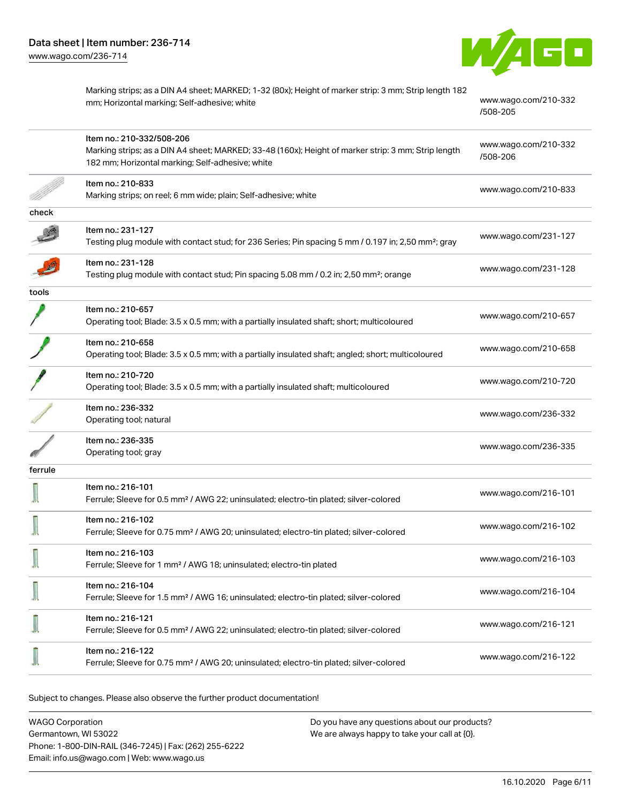

Marking strips; as a DIN A4 sheet; MARKED; 1-32 (80x); Height of marker strip: 3 mm; Strip length 182 mm; Horizontal marking; Self-adhesive; white [www.wago.com/210-332](http://www.wago.com/210-332/508-205) [/508-205](http://www.wago.com/210-332/508-205) Item no.: 210-332/508-206 Marking strips; as a DIN A4 sheet; MARKED; 33-48 (160x); Height of marker strip: 3 mm; Strip length 182 mm; Horizontal marking; Self-adhesive; white [www.wago.com/210-332](http://www.wago.com/210-332/508-206) [/508-206](http://www.wago.com/210-332/508-206) Item no.: 210-833 Marking strips; on reel; 6 mm wide; plain; Self-adhesive; white [www.wago.com/210-833](http://www.wago.com/210-833)<br>Marking strips; on reel; 6 mm wide; plain; Self-adhesive; white check Item no.: 231-127 Testing plug module with contact stud; for 236 Series; Pin spacing 5 mm / 0.197 in; 2,50 mm²; gray [www.wago.com/231-127](http://www.wago.com/231-127) Item no.: 231-128 Testing... 231-120<br>Testing plug module with contact stud; Pin spacing 5.08 mm / 0.2 in; 2,50 mm<sup>2</sup>; orange tools Item no.: 210-657 Operating tool; Blade: 3.5 x 0.5 mm; with a partially insulated shaft; short; multicoloured [www.wago.com/210-657](http://www.wago.com/210-657) Item no.: 210-658 Operating tool; Blade: 3.5 x 0.5 mm; with a partially insulated shaft; angled; short; multicoloured [www.wago.com/210-658](http://www.wago.com/210-658) Item no.: 210-720 Nettrition: 210.720<br>Operating tool; Blade: 3.5 x 0.5 mm; with a partially insulated shaft; multicoloured [www.wago.com/210-720](http://www.wago.com/210-720) Item no.: 236-332 Normal 200 002<br>Operating tool; natural [www.wago.com/236-332](http://www.wago.com/236-332) Item no.: 236-335 No. 200 000<br>Operating tool; gray [www.wago.com/236-335](http://www.wago.com/236-335) ferrule Item no.: 216-101 Ferrule; Sleeve for 0.5 mm² / AWG 22; uninsulated; electro-tin plated; silver-colored [www.wago.com/216-101](http://www.wago.com/216-101) Item no.: 216-102 Ferrule; Sleeve for 0.75 mm² / AWG 20; uninsulated; electro-tin plated; silver-colored [www.wago.com/216-102](http://www.wago.com/216-102) Item no.: 216-103 Ferrule; Sleeve for 1 mm² / AWG 18; uninsulated; electro-tin plated [www.wago.com/216-103](http://www.wago.com/216-103) Item no.: 216-104 Ferrule; Sleeve for 1.5 mm² / AWG 16; uninsulated; electro-tin plated; silver-colored [www.wago.com/216-104](http://www.wago.com/216-104) Item no.: 216-121 Ferrule; Sleeve for 0.5 mm² / AWG 22; uninsulated; electro-tin plated; silver-colored [www.wago.com/216-121](http://www.wago.com/216-121) Item no.: 216-122 Ferrule; Sleeve for 0.75 mm² / AWG 20; uninsulated; electro-tin plated; silver-colored [www.wago.com/216-122](http://www.wago.com/216-122)

Subject to changes. Please also observe the further product documentation!

WAGO Corporation Germantown, WI 53022 Phone: 1-800-DIN-RAIL (346-7245) | Fax: (262) 255-6222 Email: info.us@wago.com | Web: www.wago.us Do you have any questions about our products? We are always happy to take your call at {0}.

16.10.2020 Page 6/11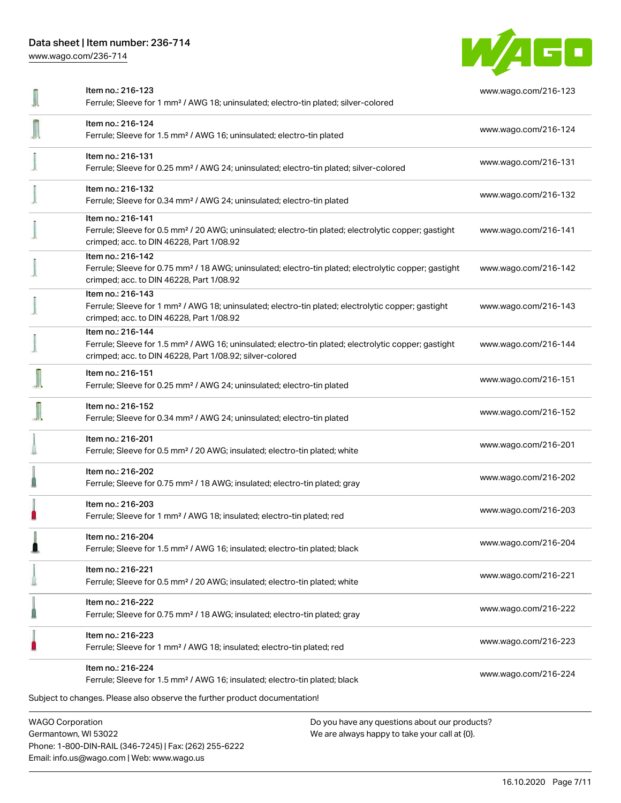[www.wago.com/236-714](http://www.wago.com/236-714)



| <b>WAGO Corporation</b> | Do you have any questions about our products?                                                                                                                                                     |                      |
|-------------------------|---------------------------------------------------------------------------------------------------------------------------------------------------------------------------------------------------|----------------------|
|                         | Item no.: 216-224<br>Ferrule; Sleeve for 1.5 mm <sup>2</sup> / AWG 16; insulated; electro-tin plated; black<br>Subject to changes. Please also observe the further product documentation!         | www.wago.com/216-224 |
|                         | Item no.: 216-223<br>Ferrule; Sleeve for 1 mm <sup>2</sup> / AWG 18; insulated; electro-tin plated; red                                                                                           | www.wago.com/216-223 |
|                         | Item no.: 216-222<br>Ferrule; Sleeve for 0.75 mm <sup>2</sup> / 18 AWG; insulated; electro-tin plated; gray                                                                                       | www.wago.com/216-222 |
|                         | Item no.: 216-221<br>Ferrule; Sleeve for 0.5 mm <sup>2</sup> / 20 AWG; insulated; electro-tin plated; white                                                                                       | www.wago.com/216-221 |
|                         | Item no.: 216-204<br>Ferrule; Sleeve for 1.5 mm <sup>2</sup> / AWG 16; insulated; electro-tin plated; black                                                                                       | www.wago.com/216-204 |
|                         | Item no.: 216-203<br>Ferrule; Sleeve for 1 mm <sup>2</sup> / AWG 18; insulated; electro-tin plated; red                                                                                           | www.wago.com/216-203 |
|                         | Item no.: 216-202<br>Ferrule; Sleeve for 0.75 mm <sup>2</sup> / 18 AWG; insulated; electro-tin plated; gray                                                                                       | www.wago.com/216-202 |
|                         | Item no.: 216-201<br>Ferrule; Sleeve for 0.5 mm <sup>2</sup> / 20 AWG; insulated; electro-tin plated; white                                                                                       | www.wago.com/216-201 |
|                         | Item no.: 216-152<br>Ferrule; Sleeve for 0.34 mm <sup>2</sup> / AWG 24; uninsulated; electro-tin plated                                                                                           | www.wago.com/216-152 |
|                         | Item no.: 216-151<br>Ferrule; Sleeve for 0.25 mm <sup>2</sup> / AWG 24; uninsulated; electro-tin plated                                                                                           | www.wago.com/216-151 |
|                         | Item no.: 216-144<br>Ferrule; Sleeve for 1.5 mm <sup>2</sup> / AWG 16; uninsulated; electro-tin plated; electrolytic copper; gastight<br>crimped; acc. to DIN 46228, Part 1/08.92; silver-colored | www.wago.com/216-144 |
|                         | Item no.: 216-143<br>Ferrule; Sleeve for 1 mm <sup>2</sup> / AWG 18; uninsulated; electro-tin plated; electrolytic copper; gastight<br>crimped; acc. to DIN 46228, Part 1/08.92                   | www.wago.com/216-143 |
|                         | Item no.: 216-142<br>Ferrule; Sleeve for 0.75 mm <sup>2</sup> / 18 AWG; uninsulated; electro-tin plated; electrolytic copper; gastight<br>crimped; acc. to DIN 46228, Part 1/08.92                | www.wago.com/216-142 |
|                         | Item no.: 216-141<br>Ferrule; Sleeve for 0.5 mm <sup>2</sup> / 20 AWG; uninsulated; electro-tin plated; electrolytic copper; gastight<br>crimped; acc. to DIN 46228, Part 1/08.92                 | www.wago.com/216-141 |
|                         | Item no.: 216-132<br>Ferrule; Sleeve for 0.34 mm <sup>2</sup> / AWG 24; uninsulated; electro-tin plated                                                                                           | www.wago.com/216-132 |
|                         | Item no.: 216-131<br>Ferrule; Sleeve for 0.25 mm <sup>2</sup> / AWG 24; uninsulated; electro-tin plated; silver-colored                                                                           | www.wago.com/216-131 |
|                         | Item no.: 216-124<br>Ferrule; Sleeve for 1.5 mm <sup>2</sup> / AWG 16; uninsulated; electro-tin plated                                                                                            | www.wago.com/216-124 |
|                         | Item no.: 216-123<br>Ferrule; Sleeve for 1 mm <sup>2</sup> / AWG 18; uninsulated; electro-tin plated; silver-colored                                                                              | www.wago.com/216-123 |

Germantown, WI 53022 Phone: 1-800-DIN-RAIL (346-7245) | Fax: (262) 255-6222 Email: info.us@wago.com | Web: www.wago.us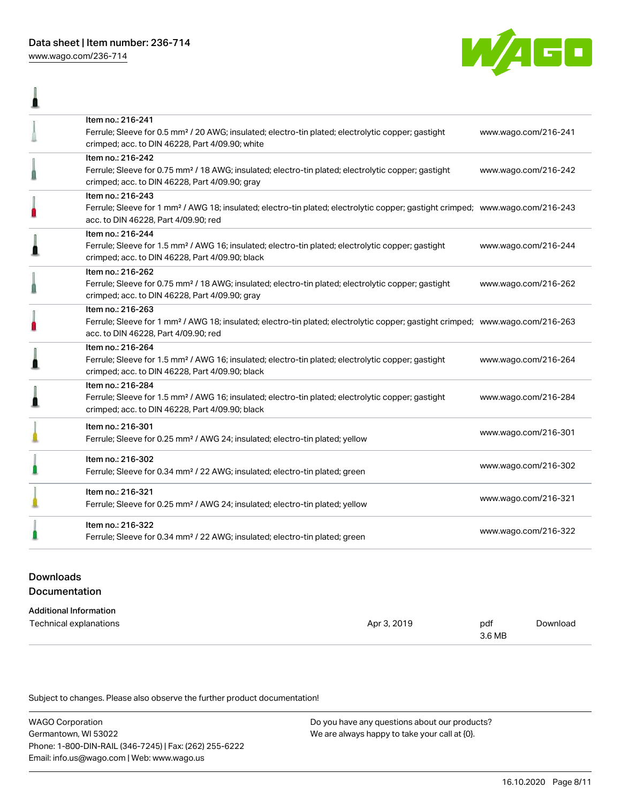[www.wago.com/236-714](http://www.wago.com/236-714)

I



| Item no.: 216-241<br>Ferrule; Sleeve for 0.5 mm <sup>2</sup> / 20 AWG; insulated; electro-tin plated; electrolytic copper; gastight<br>crimped; acc. to DIN 46228, Part 4/09.90; white                  | www.wago.com/216-241 |
|---------------------------------------------------------------------------------------------------------------------------------------------------------------------------------------------------------|----------------------|
| Item no.: 216-242<br>Ferrule; Sleeve for 0.75 mm <sup>2</sup> / 18 AWG; insulated; electro-tin plated; electrolytic copper; gastight<br>crimped; acc. to DIN 46228, Part 4/09.90; gray                  | www.wago.com/216-242 |
| Item no.: 216-243<br>Ferrule; Sleeve for 1 mm <sup>2</sup> / AWG 18; insulated; electro-tin plated; electrolytic copper; gastight crimped; www.wago.com/216-243<br>acc. to DIN 46228, Part 4/09.90; red |                      |
| Item no.: 216-244<br>Ferrule; Sleeve for 1.5 mm <sup>2</sup> / AWG 16; insulated; electro-tin plated; electrolytic copper; gastight<br>crimped; acc. to DIN 46228, Part 4/09.90; black                  | www.wago.com/216-244 |
| Item no.: 216-262<br>Ferrule; Sleeve for 0.75 mm <sup>2</sup> / 18 AWG; insulated; electro-tin plated; electrolytic copper; gastight<br>crimped; acc. to DIN 46228, Part 4/09.90; gray                  | www.wago.com/216-262 |
| Item no.: 216-263<br>Ferrule; Sleeve for 1 mm <sup>2</sup> / AWG 18; insulated; electro-tin plated; electrolytic copper; gastight crimped; www.wago.com/216-263<br>acc. to DIN 46228, Part 4/09.90; red |                      |
| Item no.: 216-264<br>Ferrule; Sleeve for 1.5 mm <sup>2</sup> / AWG 16; insulated; electro-tin plated; electrolytic copper; gastight<br>crimped; acc. to DIN 46228, Part 4/09.90; black                  | www.wago.com/216-264 |
| Item no.: 216-284<br>Ferrule; Sleeve for 1.5 mm <sup>2</sup> / AWG 16; insulated; electro-tin plated; electrolytic copper; gastight<br>crimped; acc. to DIN 46228, Part 4/09.90; black                  | www.wago.com/216-284 |
| Item no.: 216-301<br>Ferrule; Sleeve for 0.25 mm <sup>2</sup> / AWG 24; insulated; electro-tin plated; yellow                                                                                           | www.wago.com/216-301 |
| Item no.: 216-302<br>Ferrule; Sleeve for 0.34 mm <sup>2</sup> / 22 AWG; insulated; electro-tin plated; green                                                                                            | www.wago.com/216-302 |
| Item no.: 216-321<br>Ferrule; Sleeve for 0.25 mm <sup>2</sup> / AWG 24; insulated; electro-tin plated; yellow                                                                                           | www.wago.com/216-321 |
| Item no.: 216-322<br>Ferrule; Sleeve for 0.34 mm <sup>2</sup> / 22 AWG; insulated; electro-tin plated; green                                                                                            | www.wago.com/216-322 |

## Downloads Documentation

# Additional Information

| Technical explanations | 2019  | pdf    | Download |
|------------------------|-------|--------|----------|
|                        | ∆nr ? | $\sim$ |          |
|                        |       | 3.6 MB |          |

Subject to changes. Please also observe the further product documentation!

| <b>WAGO Corporation</b>                                | Do you have any questions about our products? |
|--------------------------------------------------------|-----------------------------------------------|
| Germantown, WI 53022                                   | We are always happy to take your call at {0}. |
| Phone: 1-800-DIN-RAIL (346-7245)   Fax: (262) 255-6222 |                                               |
| Email: info.us@wago.com   Web: www.wago.us             |                                               |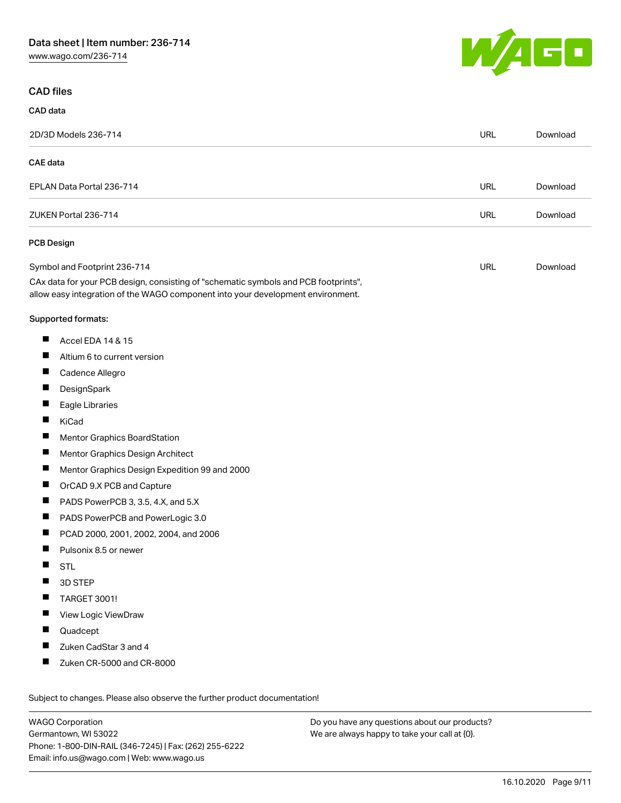[www.wago.com/236-714](http://www.wago.com/236-714)



#### CAD files

CAD data

| 2D/3D Models 236-714                                                                                                                                                   | <b>URL</b> | Download |
|------------------------------------------------------------------------------------------------------------------------------------------------------------------------|------------|----------|
| <b>CAE</b> data                                                                                                                                                        |            |          |
| EPLAN Data Portal 236-714                                                                                                                                              | <b>URL</b> | Download |
| ZUKEN Portal 236-714                                                                                                                                                   | <b>URL</b> | Download |
| PCB Design                                                                                                                                                             |            |          |
| Symbol and Footprint 236-714                                                                                                                                           | URL        | Download |
| CAx data for your PCB design, consisting of "schematic symbols and PCB footprints",<br>allow easy integration of the WAGO component into your development environment. |            |          |
| Supported formats:                                                                                                                                                     |            |          |
| ш<br>Accel EDA 14 & 15                                                                                                                                                 |            |          |
| H<br>Altium 6 to current version                                                                                                                                       |            |          |
| ш<br>Cadence Allegro                                                                                                                                                   |            |          |
| ш<br>DesignSpark                                                                                                                                                       |            |          |
| П<br>Eagle Libraries                                                                                                                                                   |            |          |
| Ш<br>KiCad                                                                                                                                                             |            |          |
| ш<br><b>Mentor Graphics BoardStation</b>                                                                                                                               |            |          |
| П<br>Mentor Graphics Design Architect                                                                                                                                  |            |          |
| ш<br>Mentor Graphics Design Expedition 99 and 2000                                                                                                                     |            |          |
| ш<br>OrCAD 9.X PCB and Capture                                                                                                                                         |            |          |
| H.<br>PADS PowerPCB 3, 3.5, 4.X, and 5.X                                                                                                                               |            |          |
| ш<br>PADS PowerPCB and PowerLogic 3.0                                                                                                                                  |            |          |
| ш<br>PCAD 2000, 2001, 2002, 2004, and 2006                                                                                                                             |            |          |
| ш<br>Pulsonix 8.5 or newer                                                                                                                                             |            |          |
| ш<br><b>STL</b>                                                                                                                                                        |            |          |
| Ш<br>3D STEP                                                                                                                                                           |            |          |
| <b>TARGET 3001!</b><br>ш                                                                                                                                               |            |          |
| View Logic ViewDraw<br>ш                                                                                                                                               |            |          |
| Quadcept                                                                                                                                                               |            |          |
| Zuken CadStar 3 and 4<br>ш                                                                                                                                             |            |          |
| ш<br>Zuken CR-5000 and CR-8000                                                                                                                                         |            |          |
| Subject to changes. Please also observe the further product documentation!                                                                                             |            |          |

WAGO Corporation Germantown, WI 53022 Phone: 1-800-DIN-RAIL (346-7245) | Fax: (262) 255-6222 Email: info.us@wago.com | Web: www.wago.us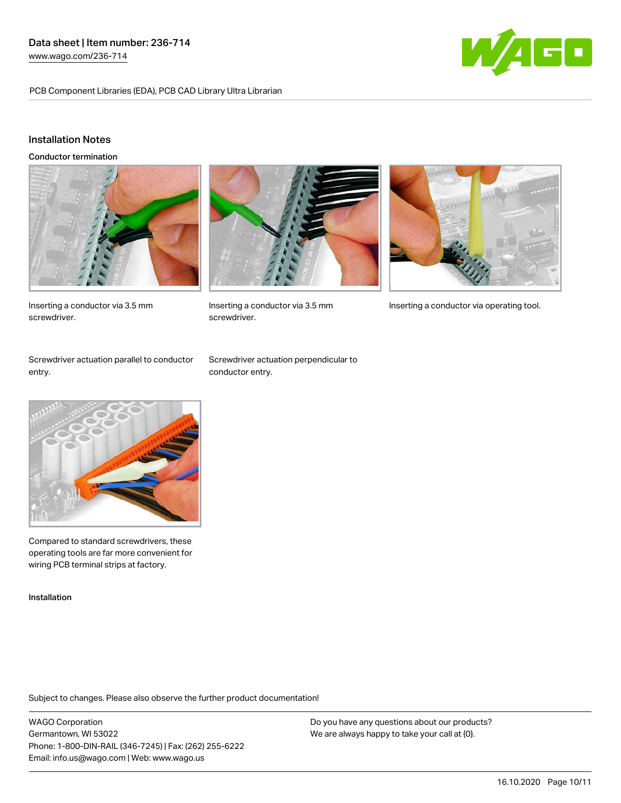PCB Component Libraries (EDA), PCB CAD Library Ultra Librarian



## Installation Notes

Conductor termination



Inserting a conductor via 3.5 mm screwdriver.



screwdriver.



Inserting a conductor via 3.5 mm Inserting a conductor via operating tool.

Screwdriver actuation parallel to conductor entry.

Screwdriver actuation perpendicular to conductor entry.



Compared to standard screwdrivers, these operating tools are far more convenient for wiring PCB terminal strips at factory.

Installation

Subject to changes. Please also observe the further product documentation!

WAGO Corporation Germantown, WI 53022 Phone: 1-800-DIN-RAIL (346-7245) | Fax: (262) 255-6222 Email: info.us@wago.com | Web: www.wago.us